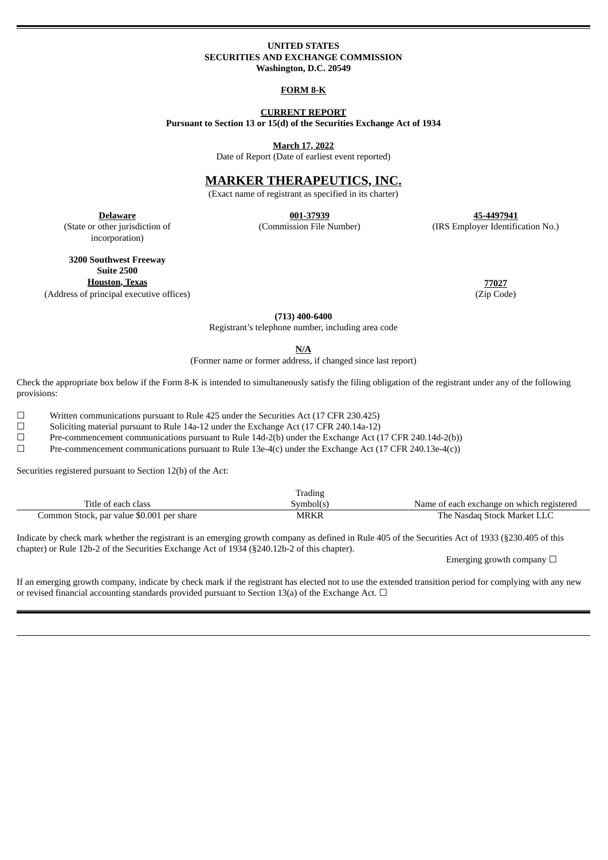### **UNITED STATES SECURITIES AND EXCHANGE COMMISSION Washington, D.C. 20549**

### **FORM 8-K**

### **CURRENT REPORT Pursuant to Section 13 or 15(d) of the Securities Exchange Act of 1934**

**March 17, 2022**

Date of Report (Date of earliest event reported)

# **MARKER THERAPEUTICS, INC.**

(Exact name of registrant as specified in its charter)

(State or other jurisdiction of incorporation)

**Delaware 001-37939 45-4497941** (Commission File Number) (IRS Employer Identification No.)

**3200 Southwest Freeway Suite 2500 Houston, Texas 77027** (Address of principal executive offices) (Zip Code)

**(713) 400-6400**

Registrant's telephone number, including area code

**N/A**

(Former name or former address, if changed since last report)

Check the appropriate box below if the Form 8-K is intended to simultaneously satisfy the filing obligation of the registrant under any of the following provisions:

 $\Box$  Written communications pursuant to Rule 425 under the Securities Act (17 CFR 230.425)

☐ Soliciting material pursuant to Rule 14a-12 under the Exchange Act (17 CFR 240.14a-12)

☐ Pre-commencement communications pursuant to Rule 14d-2(b) under the Exchange Act (17 CFR 240.14d-2(b))

 $\Box$  Pre-commencement communications pursuant to Rule 13e-4(c) under the Exchange Act (17 CFR 240.13e-4(c))

Securities registered pursuant to Section 12(b) of the Act:

|                                           | Trading   |                                           |
|-------------------------------------------|-----------|-------------------------------------------|
| Title of each class                       | Symbol(s) | Name of each exchange on which registered |
| Common Stock, par value \$0.001 per share | MRKR      | The Nasdaq Stock Market LLC               |

Indicate by check mark whether the registrant is an emerging growth company as defined in Rule 405 of the Securities Act of 1933 (§230.405 of this chapter) or Rule 12b-2 of the Securities Exchange Act of 1934 (§240.12b-2 of this chapter).

Emerging growth company  $\Box$ 

If an emerging growth company, indicate by check mark if the registrant has elected not to use the extended transition period for complying with any new or revised financial accounting standards provided pursuant to Section 13(a) of the Exchange Act.  $\Box$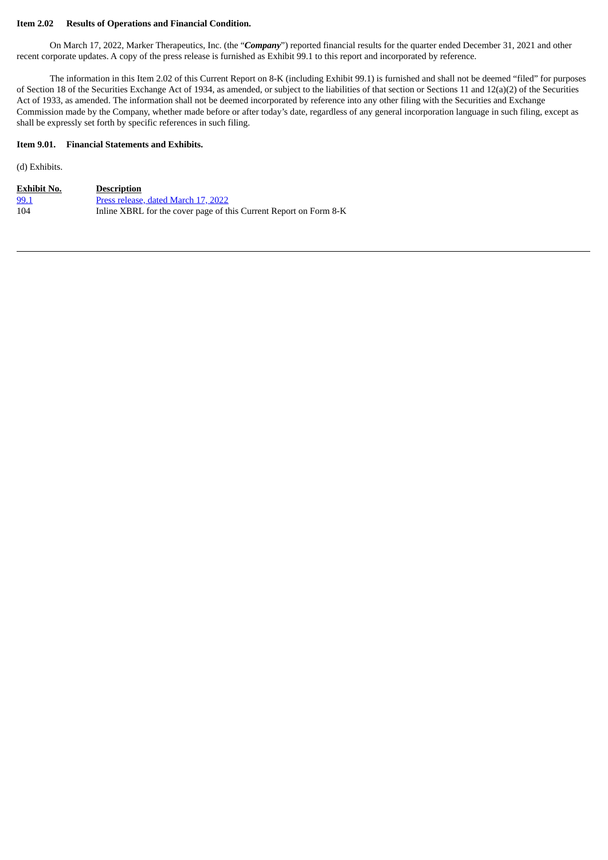## **Item 2.02 Results of Operations and Financial Condition.**

On March 17, 2022, Marker Therapeutics, Inc. (the "*Company*") reported financial results for the quarter ended December 31, 2021 and other recent corporate updates. A copy of the press release is furnished as Exhibit 99.1 to this report and incorporated by reference.

The information in this Item 2.02 of this Current Report on 8-K (including Exhibit 99.1) is furnished and shall not be deemed "filed" for purposes of Section 18 of the Securities Exchange Act of 1934, as amended, or subject to the liabilities of that section or Sections 11 and 12(a)(2) of the Securities Act of 1933, as amended. The information shall not be deemed incorporated by reference into any other filing with the Securities and Exchange Commission made by the Company, whether made before or after today's date, regardless of any general incorporation language in such filing, except as shall be expressly set forth by specific references in such filing.

## **Item 9.01. Financial Statements and Exhibits.**

(d) Exhibits.

| <b>Exhibit No.</b> | <b>Description</b>                                                |
|--------------------|-------------------------------------------------------------------|
| 99.1               | Press release, dated March 17, 2022                               |
| 104                | Inline XBRL for the cover page of this Current Report on Form 8-K |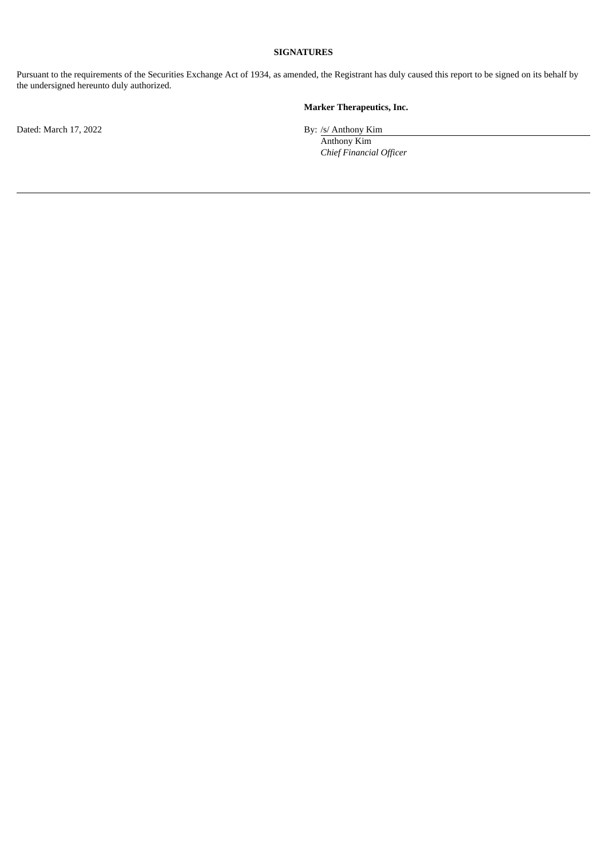# **SIGNATURES**

Pursuant to the requirements of the Securities Exchange Act of 1934, as amended, the Registrant has duly caused this report to be signed on its behalf by the undersigned hereunto duly authorized.

# **Marker Therapeutics, Inc.**

Anthony Kim *Chief Financial Officer*

Dated: March 17, 2022 By: /s/ Anthony Kim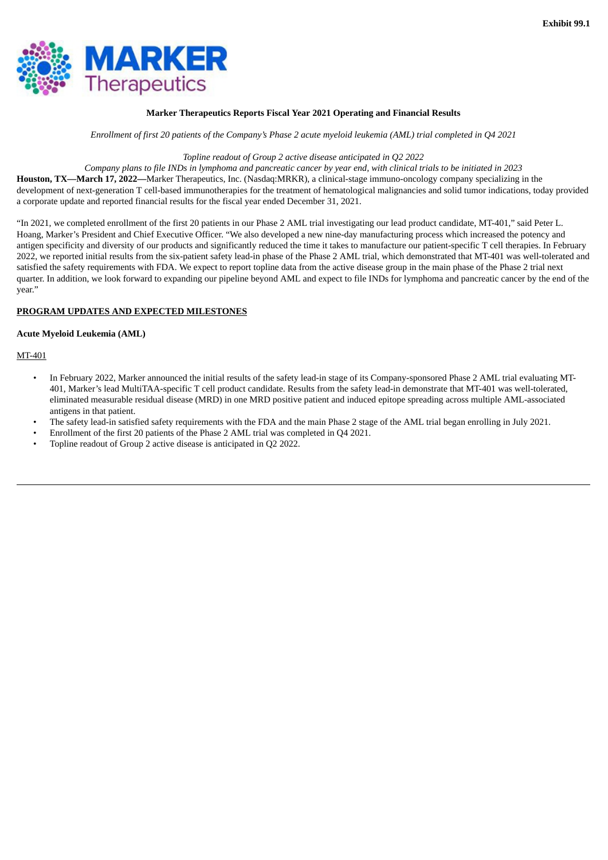<span id="page-3-0"></span>

### **Marker Therapeutics Reports Fiscal Year 2021 Operating and Financial Results**

Enrollment of first 20 patients of the Company's Phase 2 acute myeloid leukemia (AML) trial completed in O4 2021

### *Topline readout of Group 2 active disease anticipated in Q2 2022*

Company plans to file INDs in lymphoma and pancreatic cancer by year end, with clinical trials to be initiated in 2023 **Houston, TX—March 17, 2022—**Marker Therapeutics, Inc. (Nasdaq:MRKR), a clinical-stage immuno-oncology company specializing in the development of next-generation T cell-based immunotherapies for the treatment of hematological malignancies and solid tumor indications, today provided a corporate update and reported financial results for the fiscal year ended December 31, 2021.

"In 2021, we completed enrollment of the first 20 patients in our Phase 2 AML trial investigating our lead product candidate, MT-401," said Peter L. Hoang, Marker's President and Chief Executive Officer. "We also developed a new nine-day manufacturing process which increased the potency and antigen specificity and diversity of our products and significantly reduced the time it takes to manufacture our patient-specific T cell therapies. In February 2022, we reported initial results from the six-patient safety lead-in phase of the Phase 2 AML trial, which demonstrated that MT-401 was well-tolerated and satisfied the safety requirements with FDA. We expect to report topline data from the active disease group in the main phase of the Phase 2 trial next quarter. In addition, we look forward to expanding our pipeline beyond AML and expect to file INDs for lymphoma and pancreatic cancer by the end of the year."

### **PROGRAM UPDATES AND EXPECTED MILESTONES**

### **Acute Myeloid Leukemia (AML)**

## MT-401

- In February 2022, Marker announced the initial results of the safety lead-in stage of its Company-sponsored Phase 2 AML trial evaluating MT-401, Marker's lead MultiTAA-specific T cell product candidate. Results from the safety lead-in demonstrate that MT-401 was well-tolerated, eliminated measurable residual disease (MRD) in one MRD positive patient and induced epitope spreading across multiple AML-associated antigens in that patient.
- The safety lead-in satisfied safety requirements with the FDA and the main Phase 2 stage of the AML trial began enrolling in July 2021.
- Enrollment of the first 20 patients of the Phase 2 AML trial was completed in Q4 2021.
- Topline readout of Group 2 active disease is anticipated in Q2 2022.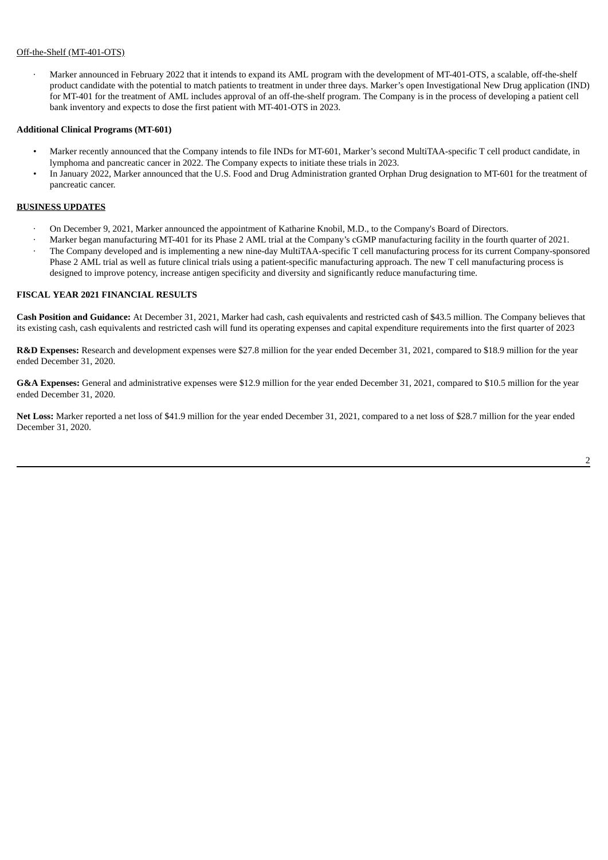# Off-the-Shelf (MT-401-OTS)

· Marker announced in February 2022 that it intends to expand its AML program with the development of MT-401-OTS, a scalable, off-the-shelf product candidate with the potential to match patients to treatment in under three days. Marker's open Investigational New Drug application (IND) for MT-401 for the treatment of AML includes approval of an off-the-shelf program. The Company is in the process of developing a patient cell bank inventory and expects to dose the first patient with MT-401-OTS in 2023.

### **Additional Clinical Programs (MT-601)**

- Marker recently announced that the Company intends to file INDs for MT-601, Marker's second MultiTAA-specific T cell product candidate, in lymphoma and pancreatic cancer in 2022. The Company expects to initiate these trials in 2023.
- In January 2022, Marker announced that the U.S. Food and Drug Administration granted Orphan Drug designation to MT-601 for the treatment of pancreatic cancer.

### **BUSINESS UPDATES**

- · On December 9, 2021, Marker announced the appointment of Katharine Knobil, M.D., to the Company's Board of Directors.
- · Marker began manufacturing MT-401 for its Phase 2 AML trial at the Company's cGMP manufacturing facility in the fourth quarter of 2021. · The Company developed and is implementing a new nine-day MultiTAA-specific T cell manufacturing process for its current Company-sponsored Phase 2 AML trial as well as future clinical trials using a patient-specific manufacturing approach. The new T cell manufacturing process is designed to improve potency, increase antigen specificity and diversity and significantly reduce manufacturing time.

#### **FISCAL YEAR 2021 FINANCIAL RESULTS**

**Cash Position and Guidance:** At December 31, 2021, Marker had cash, cash equivalents and restricted cash of \$43.5 million. The Company believes that its existing cash, cash equivalents and restricted cash will fund its operating expenses and capital expenditure requirements into the first quarter of 2023

**R&D Expenses:** Research and development expenses were \$27.8 million for the year ended December 31, 2021, compared to \$18.9 million for the year ended December 31, 2020.

**G&A Expenses:** General and administrative expenses were \$12.9 million for the year ended December 31, 2021, compared to \$10.5 million for the year ended December 31, 2020.

**Net Loss:** Marker reported a net loss of \$41.9 million for the year ended December 31, 2021, compared to a net loss of \$28.7 million for the year ended December 31, 2020.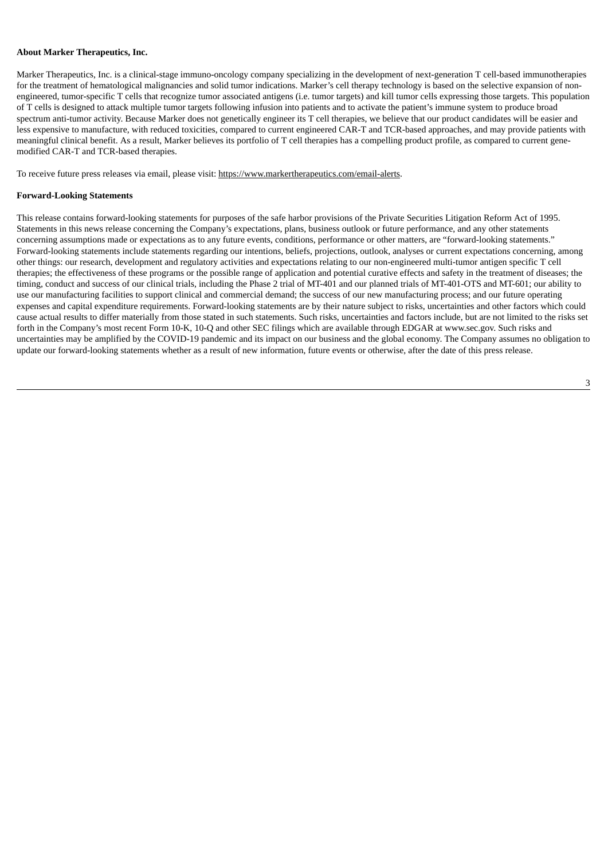#### **About Marker Therapeutics, Inc.**

Marker Therapeutics, Inc. is a clinical-stage immuno-oncology company specializing in the development of next-generation T cell-based immunotherapies for the treatment of hematological malignancies and solid tumor indications. Marker's cell therapy technology is based on the selective expansion of nonengineered, tumor-specific T cells that recognize tumor associated antigens (i.e. tumor targets) and kill tumor cells expressing those targets. This population of T cells is designed to attack multiple tumor targets following infusion into patients and to activate the patient's immune system to produce broad spectrum anti-tumor activity. Because Marker does not genetically engineer its T cell therapies, we believe that our product candidates will be easier and less expensive to manufacture, with reduced toxicities, compared to current engineered CAR-T and TCR-based approaches, and may provide patients with meaningful clinical benefit. As a result, Marker believes its portfolio of T cell therapies has a compelling product profile, as compared to current genemodified CAR-T and TCR-based therapies.

To receive future press releases via email, please visit: https://www.markertherapeutics.com/email-alerts.

#### **Forward-Looking Statements**

This release contains forward-looking statements for purposes of the safe harbor provisions of the Private Securities Litigation Reform Act of 1995. Statements in this news release concerning the Company's expectations, plans, business outlook or future performance, and any other statements concerning assumptions made or expectations as to any future events, conditions, performance or other matters, are "forward-looking statements." Forward-looking statements include statements regarding our intentions, beliefs, projections, outlook, analyses or current expectations concerning, among other things: our research, development and regulatory activities and expectations relating to our non-engineered multi-tumor antigen specific T cell therapies; the effectiveness of these programs or the possible range of application and potential curative effects and safety in the treatment of diseases; the timing, conduct and success of our clinical trials, including the Phase 2 trial of MT-401 and our planned trials of MT-401-OTS and MT-601; our ability to use our manufacturing facilities to support clinical and commercial demand; the success of our new manufacturing process; and our future operating expenses and capital expenditure requirements. Forward-looking statements are by their nature subject to risks, uncertainties and other factors which could cause actual results to differ materially from those stated in such statements. Such risks, uncertainties and factors include, but are not limited to the risks set forth in the Company's most recent Form 10-K, 10-Q and other SEC filings which are available through EDGAR at www.sec.gov. Such risks and uncertainties may be amplified by the COVID-19 pandemic and its impact on our business and the global economy. The Company assumes no obligation to update our forward-looking statements whether as a result of new information, future events or otherwise, after the date of this press release.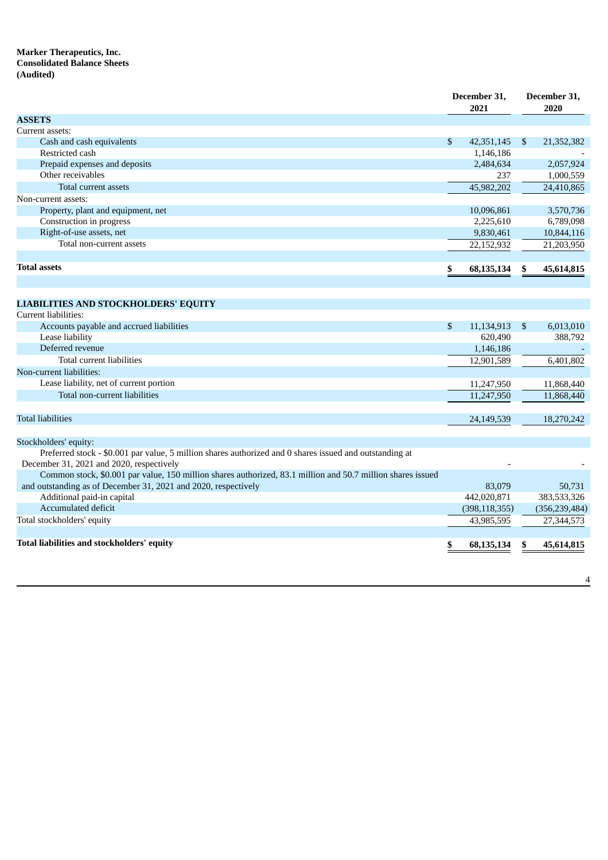# **Marker Therapeutics, Inc. Consolidated Balance Sheets (Audited)**

|                                                                                                                                                     | December 31,<br>2021 |                | December 31,<br>2020 |
|-----------------------------------------------------------------------------------------------------------------------------------------------------|----------------------|----------------|----------------------|
| <b>ASSETS</b>                                                                                                                                       |                      |                |                      |
| Current assets:                                                                                                                                     |                      |                |                      |
| Cash and cash equivalents                                                                                                                           | \$<br>42,351,145     | <sup>S</sup>   | 21,352,382           |
| Restricted cash                                                                                                                                     | 1,146,186            |                |                      |
| Prepaid expenses and deposits                                                                                                                       | 2,484,634            |                | 2,057,924            |
| Other receivables                                                                                                                                   | 237                  |                | 1,000,559            |
| <b>Total current assets</b>                                                                                                                         | 45,982,202           |                | 24,410,865           |
| Non-current assets:                                                                                                                                 |                      |                |                      |
| Property, plant and equipment, net                                                                                                                  | 10,096,861           |                | 3,570,736            |
| Construction in progress                                                                                                                            | 2,225,610            |                | 6,789,098            |
| Right-of-use assets, net                                                                                                                            | 9,830,461            |                | 10,844,116           |
| Total non-current assets                                                                                                                            | 22,152,932           |                | 21,203,950           |
| <b>Total assets</b>                                                                                                                                 | \$<br>68,135,134     | \$             | 45,614,815           |
|                                                                                                                                                     |                      |                |                      |
|                                                                                                                                                     |                      |                |                      |
| <b>LIABILITIES AND STOCKHOLDERS' EQUITY</b>                                                                                                         |                      |                |                      |
| Current liabilities:                                                                                                                                |                      |                |                      |
| Accounts payable and accrued liabilities                                                                                                            | \$<br>11,134,913     | $\mathfrak{S}$ | 6,013,010            |
| Lease liability                                                                                                                                     | 620,490              |                | 388,792              |
| Deferred revenue                                                                                                                                    | 1,146,186            |                |                      |
| Total current liabilities                                                                                                                           | 12,901,589           |                | 6,401,802            |
| Non-current liabilities:                                                                                                                            |                      |                |                      |
| Lease liability, net of current portion                                                                                                             | 11,247,950           |                | 11,868,440           |
| Total non-current liabilities                                                                                                                       | 11,247,950           |                | 11,868,440           |
|                                                                                                                                                     |                      |                |                      |
| <b>Total liabilities</b>                                                                                                                            | 24,149,539           |                | 18,270,242           |
|                                                                                                                                                     |                      |                |                      |
| Stockholders' equity:                                                                                                                               |                      |                |                      |
| Preferred stock - \$0.001 par value, 5 million shares authorized and 0 shares issued and outstanding at<br>December 31, 2021 and 2020, respectively |                      |                |                      |
| Common stock, \$0.001 par value, 150 million shares authorized, 83.1 million and 50.7 million shares issued                                         |                      |                |                      |
| and outstanding as of December 31, 2021 and 2020, respectively                                                                                      | 83,079               |                | 50,731               |
| Additional paid-in capital                                                                                                                          | 442,020,871          |                | 383,533,326          |
| Accumulated deficit                                                                                                                                 | (398, 118, 355)      |                | (356, 239, 484)      |
| Total stockholders' equity                                                                                                                          | 43,985,595           |                | 27,344,573           |
|                                                                                                                                                     |                      |                |                      |
| Total liabilities and stockholders' equity                                                                                                          | \$<br>68,135,134     | \$             | 45,614,815           |
|                                                                                                                                                     |                      |                |                      |

4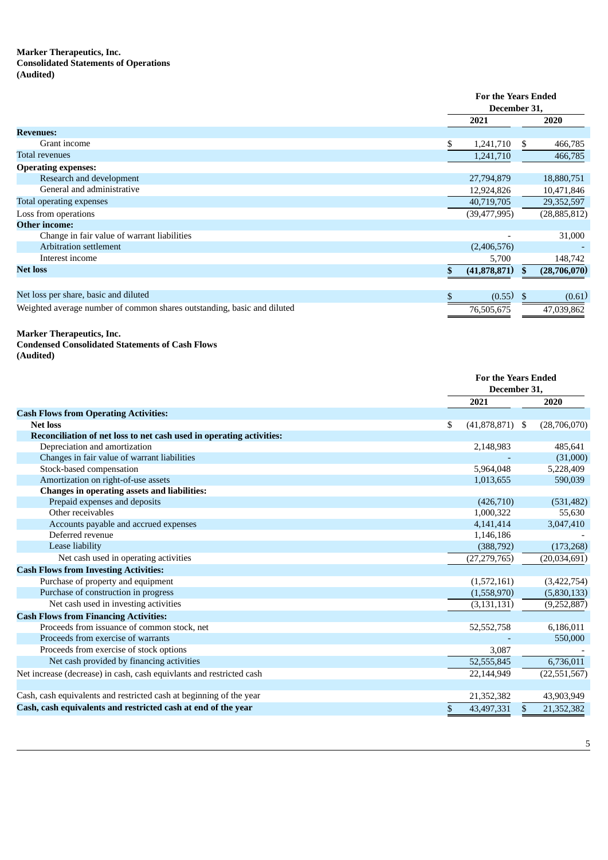# **Marker Therapeutics, Inc. Consolidated Statements of Operations (Audited)**

|                                                                         |                 | <b>For the Years Ended</b><br>December 31, |  |  |
|-------------------------------------------------------------------------|-----------------|--------------------------------------------|--|--|
|                                                                         | 2021            | 2020                                       |  |  |
| <b>Revenues:</b>                                                        |                 |                                            |  |  |
| Grant income                                                            | 1,241,710<br>\$ | 466,785<br>S.                              |  |  |
| <b>Total revenues</b>                                                   | 1,241,710       | 466,785                                    |  |  |
| <b>Operating expenses:</b>                                              |                 |                                            |  |  |
| Research and development                                                | 27,794,879      | 18,880,751                                 |  |  |
| General and administrative                                              | 12,924,826      | 10,471,846                                 |  |  |
| Total operating expenses                                                | 40,719,705      | 29,352,597                                 |  |  |
| Loss from operations                                                    | (39, 477, 995)  | (28, 885, 812)                             |  |  |
| <b>Other income:</b>                                                    |                 |                                            |  |  |
| Change in fair value of warrant liabilities                             |                 | 31,000                                     |  |  |
| <b>Arbitration settlement</b>                                           | (2,406,576)     |                                            |  |  |
| Interest income                                                         | 5,700           | 148,742                                    |  |  |
| <b>Net loss</b>                                                         | (41,878,871)    | (28,706,070)<br>\$                         |  |  |
|                                                                         |                 |                                            |  |  |
| Net loss per share, basic and diluted                                   | (0.55)          | (0.61)<br>\$                               |  |  |
| Weighted average number of common shares outstanding, basic and diluted | 76,505,675      | 47,039,862                                 |  |  |

#### **Marker Therapeutics, Inc.**

# **Condensed Consolidated Statements of Cash Flows**

**(Audited)**

|                                                                      |                    | <b>For the Years Ended</b><br>December 31, |  |  |
|----------------------------------------------------------------------|--------------------|--------------------------------------------|--|--|
|                                                                      | 2021               | 2020                                       |  |  |
| <b>Cash Flows from Operating Activities:</b>                         |                    |                                            |  |  |
| <b>Net loss</b>                                                      | \$<br>(41,878,871) | (28,706,070)<br>-\$                        |  |  |
| Reconciliation of net loss to net cash used in operating activities: |                    |                                            |  |  |
| Depreciation and amortization                                        | 2,148,983          | 485,641                                    |  |  |
| Changes in fair value of warrant liabilities                         |                    | (31,000)                                   |  |  |
| Stock-based compensation                                             | 5,964,048          | 5,228,409                                  |  |  |
| Amortization on right-of-use assets                                  | 1,013,655          | 590,039                                    |  |  |
| Changes in operating assets and liabilities:                         |                    |                                            |  |  |
| Prepaid expenses and deposits                                        | (426,710)          | (531, 482)                                 |  |  |
| Other receivables                                                    | 1,000,322          | 55,630                                     |  |  |
| Accounts payable and accrued expenses                                | 4,141,414          | 3,047,410                                  |  |  |
| Deferred revenue                                                     | 1,146,186          |                                            |  |  |
| Lease liability                                                      | (388, 792)         | (173, 268)                                 |  |  |
| Net cash used in operating activities                                | (27, 279, 765)     | (20,034,691)                               |  |  |
| <b>Cash Flows from Investing Activities:</b>                         |                    |                                            |  |  |
| Purchase of property and equipment                                   | (1,572,161)        | (3,422,754)                                |  |  |
| Purchase of construction in progress                                 | (1,558,970)        | (5,830,133)                                |  |  |
| Net cash used in investing activities                                | (3, 131, 131)      | (9, 252, 887)                              |  |  |
| <b>Cash Flows from Financing Activities:</b>                         |                    |                                            |  |  |
| Proceeds from issuance of common stock, net                          | 52,552,758         | 6,186,011                                  |  |  |
| Proceeds from exercise of warrants                                   |                    | 550,000                                    |  |  |
| Proceeds from exercise of stock options                              | 3.087              |                                            |  |  |
| Net cash provided by financing activities                            | 52,555,845         | 6,736,011                                  |  |  |
| Net increase (decrease) in cash, cash equivlants and restricted cash | 22,144,949         | (22, 551, 567)                             |  |  |
|                                                                      |                    |                                            |  |  |
| Cash, cash equivalents and restricted cash at beginning of the year  | 21,352,382         | 43,903,949                                 |  |  |
| Cash, cash equivalents and restricted cash at end of the year        | \$<br>43,497,331   | 21,352,382<br>\$.                          |  |  |
|                                                                      |                    |                                            |  |  |